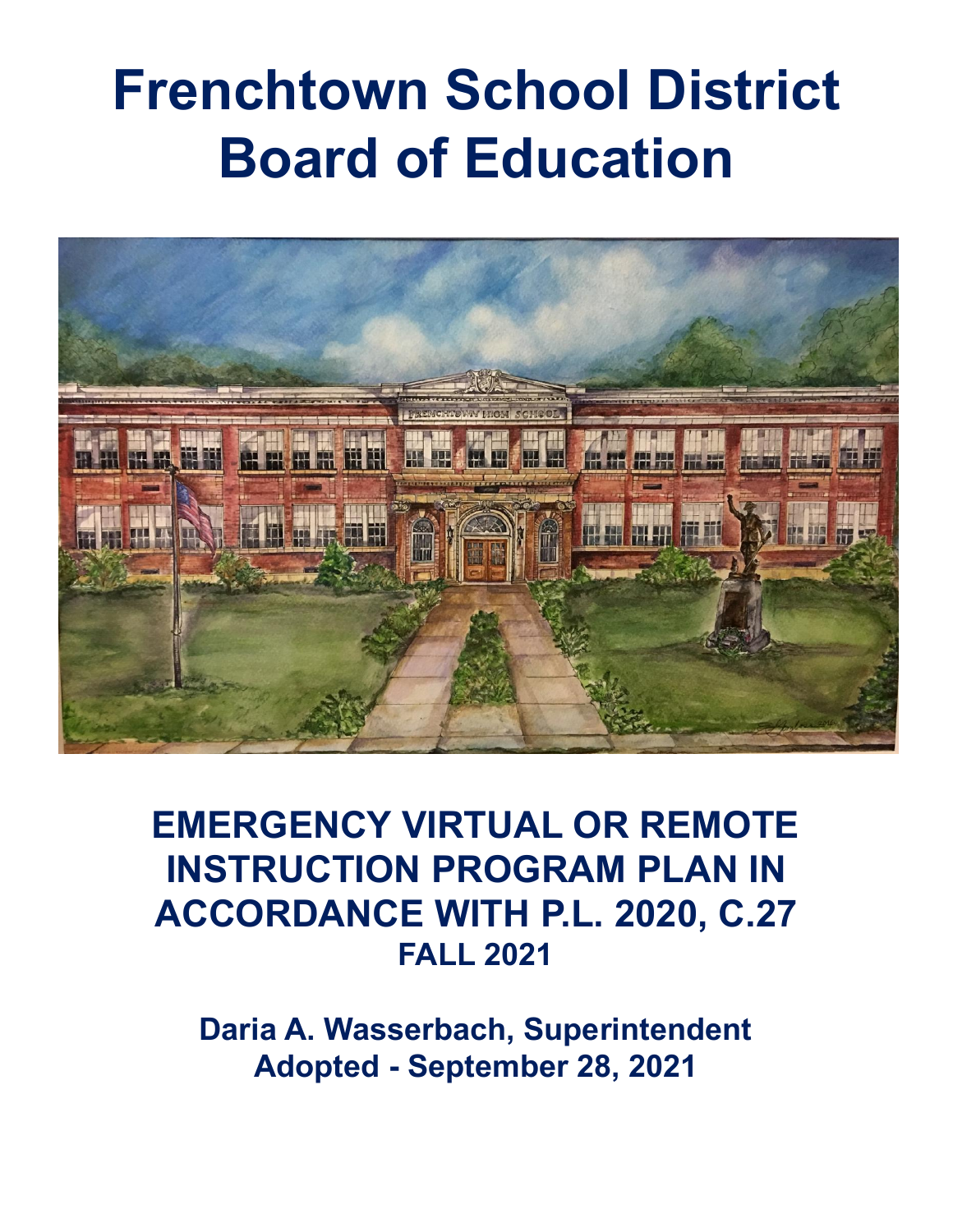# **Frenchtown School District Board of Education**



**EMERGENCY VIRTUAL OR REMOTE INSTRUCTION PROGRAM PLAN IN ACCORDANCE WITH P.L. 2020, C.27 FALL 2021**

**Daria A. Wasserbach, Superintendent Adopted - September 28, 2021**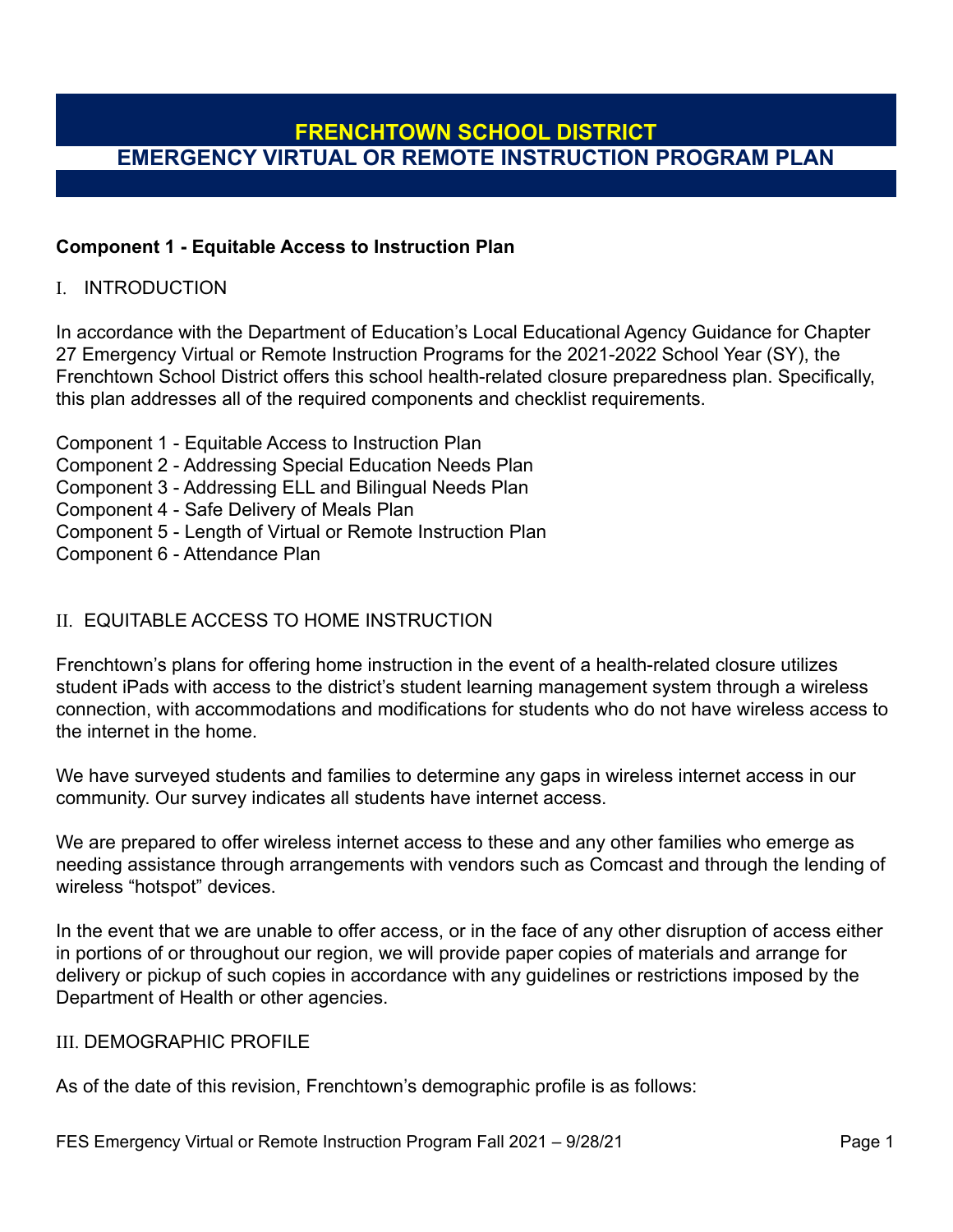#### **Component 1 - Equitable Access to Instruction Plan**

#### I. INTRODUCTION

In accordance with the Department of Education's Local Educational Agency Guidance for Chapter 27 Emergency Virtual or Remote Instruction Programs for the 2021-2022 School Year (SY), the Frenchtown School District offers this school health-related closure preparedness plan. Specifically, this plan addresses all of the required components and checklist requirements.

Component 1 - Equitable Access to Instruction Plan Component 2 - Addressing Special Education Needs Plan Component 3 - Addressing ELL and Bilingual Needs Plan Component 4 - Safe Delivery of Meals Plan Component 5 - Length of Virtual or Remote Instruction Plan Component 6 - Attendance Plan

#### II. EQUITABLE ACCESS TO HOME INSTRUCTION

Frenchtown's plans for offering home instruction in the event of a health-related closure utilizes student iPads with access to the district's student learning management system through a wireless connection, with accommodations and modifications for students who do not have wireless access to the internet in the home.

We have surveyed students and families to determine any gaps in wireless internet access in our community. Our survey indicates all students have internet access.

We are prepared to offer wireless internet access to these and any other families who emerge as needing assistance through arrangements with vendors such as Comcast and through the lending of wireless "hotspot" devices.

In the event that we are unable to offer access, or in the face of any other disruption of access either in portions of or throughout our region, we will provide paper copies of materials and arrange for delivery or pickup of such copies in accordance with any guidelines or restrictions imposed by the Department of Health or other agencies.

#### III. DEMOGRAPHIC PROFILE

As of the date of this revision, Frenchtown's demographic profile is as follows: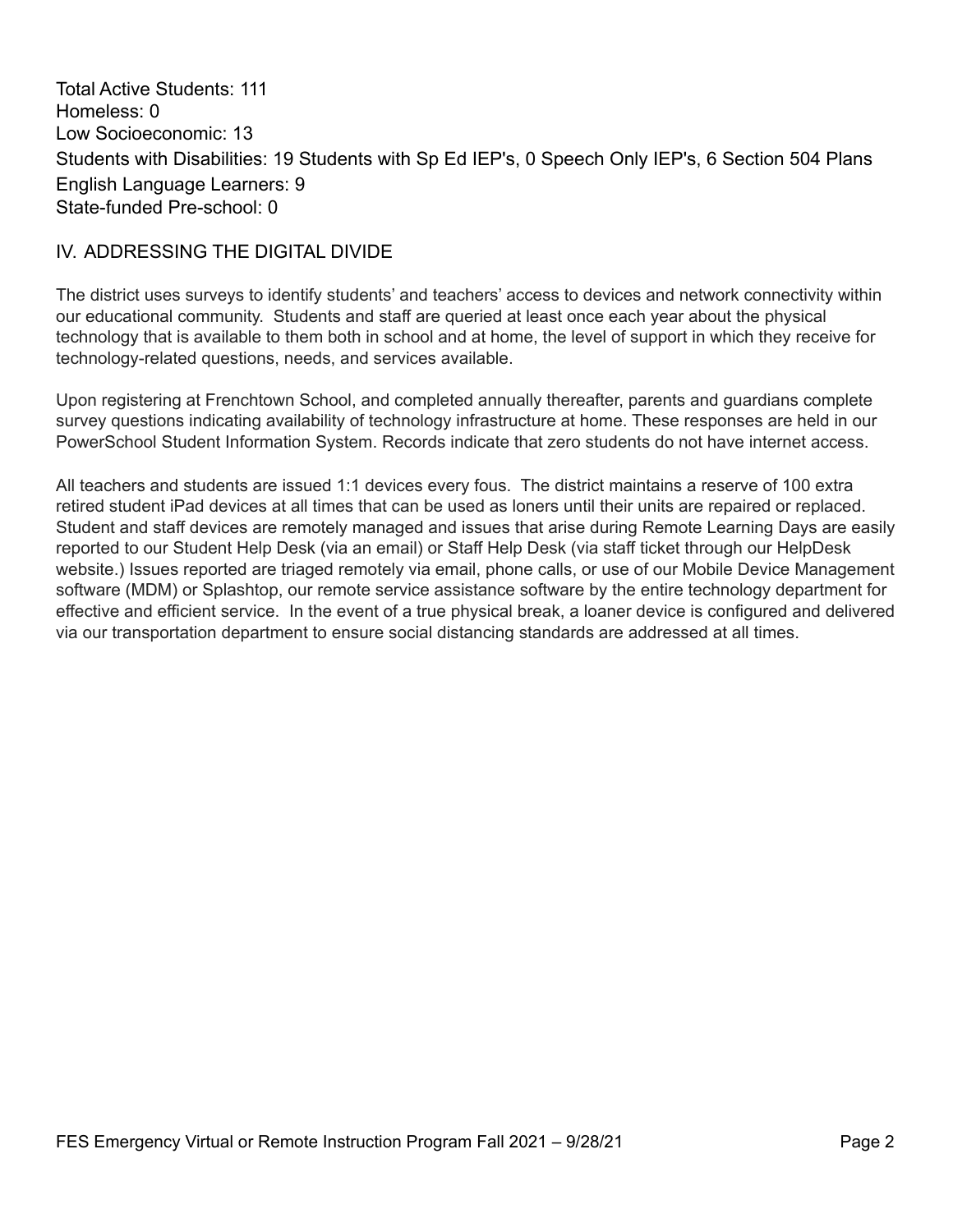Total Active Students: 111 Homeless: 0 Low Socioeconomic: 13 Students with Disabilities: 19 Students with Sp Ed IEP's, 0 Speech Only IEP's, 6 Section 504 Plans English Language Learners: 9 State-funded Pre-school: 0

### IV. ADDRESSING THE DIGITAL DIVIDE

The district uses surveys to identify students' and teachers' access to devices and network connectivity within our educational community. Students and staff are queried at least once each year about the physical technology that is available to them both in school and at home, the level of support in which they receive for technology-related questions, needs, and services available.

Upon registering at Frenchtown School, and completed annually thereafter, parents and guardians complete survey questions indicating availability of technology infrastructure at home. These responses are held in our PowerSchool Student Information System. Records indicate that zero students do not have internet access.

All teachers and students are issued 1:1 devices every fous. The district maintains a reserve of 100 extra retired student iPad devices at all times that can be used as loners until their units are repaired or replaced. Student and staff devices are remotely managed and issues that arise during Remote Learning Days are easily reported to our Student Help Desk (via an email) or Staff Help Desk (via staff ticket through our HelpDesk website.) Issues reported are triaged remotely via email, phone calls, or use of our Mobile Device Management software (MDM) or Splashtop, our remote service assistance software by the entire technology department for effective and efficient service. In the event of a true physical break, a loaner device is configured and delivered via our transportation department to ensure social distancing standards are addressed at all times.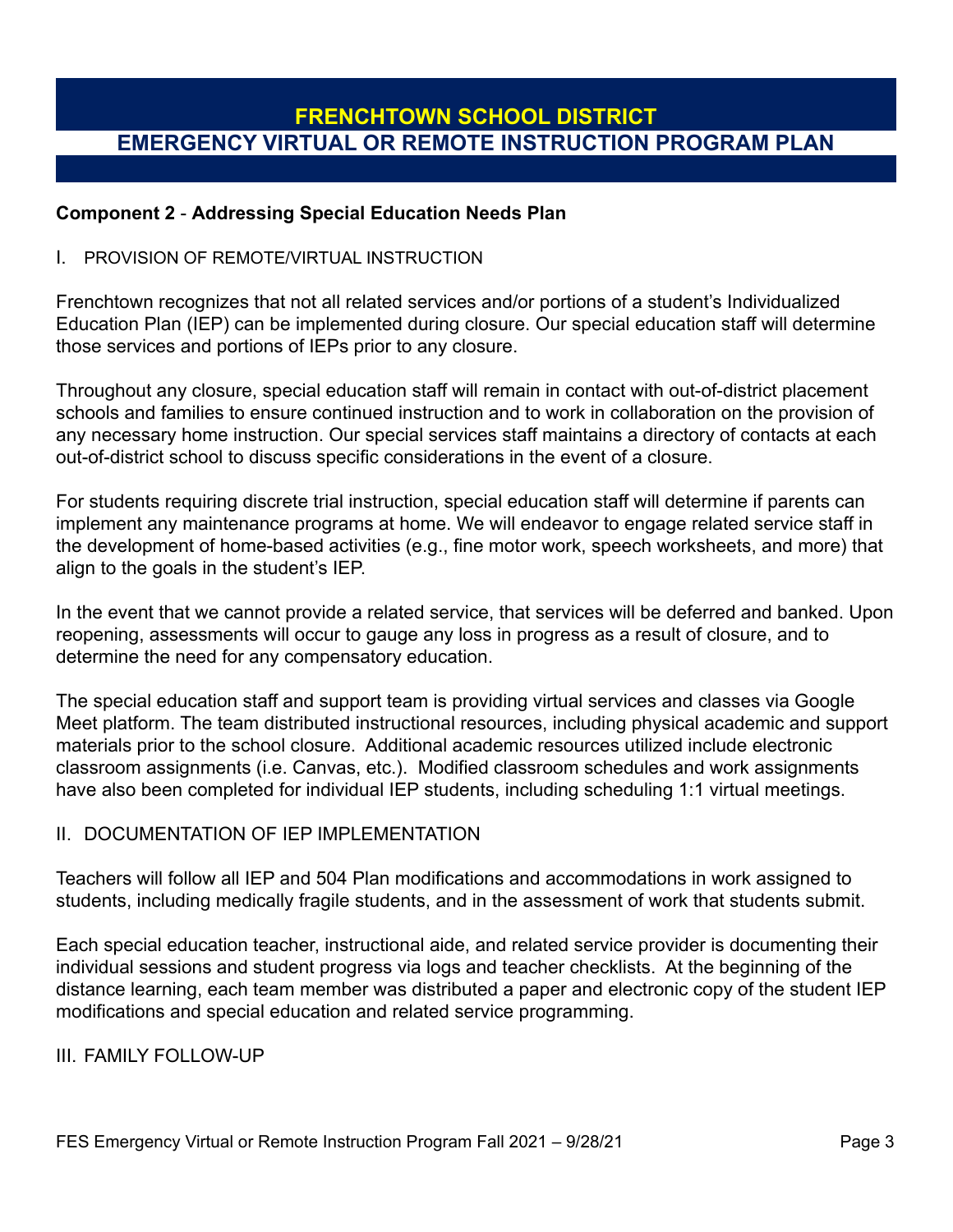#### **Component 2** - **Addressing Special Education Needs Plan**

#### I. PROVISION OF REMOTE/VIRTUAL INSTRUCTION

Frenchtown recognizes that not all related services and/or portions of a student's Individualized Education Plan (IEP) can be implemented during closure. Our special education staff will determine those services and portions of IEPs prior to any closure.

Throughout any closure, special education staff will remain in contact with out-of-district placement schools and families to ensure continued instruction and to work in collaboration on the provision of any necessary home instruction. Our special services staff maintains a directory of contacts at each out-of-district school to discuss specific considerations in the event of a closure.

For students requiring discrete trial instruction, special education staff will determine if parents can implement any maintenance programs at home. We will endeavor to engage related service staff in the development of home-based activities (e.g., fine motor work, speech worksheets, and more) that align to the goals in the student's IEP.

In the event that we cannot provide a related service, that services will be deferred and banked. Upon reopening, assessments will occur to gauge any loss in progress as a result of closure, and to determine the need for any compensatory education.

The special education staff and support team is providing virtual services and classes via Google Meet platform. The team distributed instructional resources, including physical academic and support materials prior to the school closure. Additional academic resources utilized include electronic classroom assignments (i.e. Canvas, etc.). Modified classroom schedules and work assignments have also been completed for individual IEP students, including scheduling 1:1 virtual meetings.

#### II. DOCUMENTATION OF IFP IMPI EMENTATION

Teachers will follow all IEP and 504 Plan modifications and accommodations in work assigned to students, including medically fragile students, and in the assessment of work that students submit.

Each special education teacher, instructional aide, and related service provider is documenting their individual sessions and student progress via logs and teacher checklists. At the beginning of the distance learning, each team member was distributed a paper and electronic copy of the student IEP modifications and special education and related service programming.

III. FAMILY FOLLOW-UP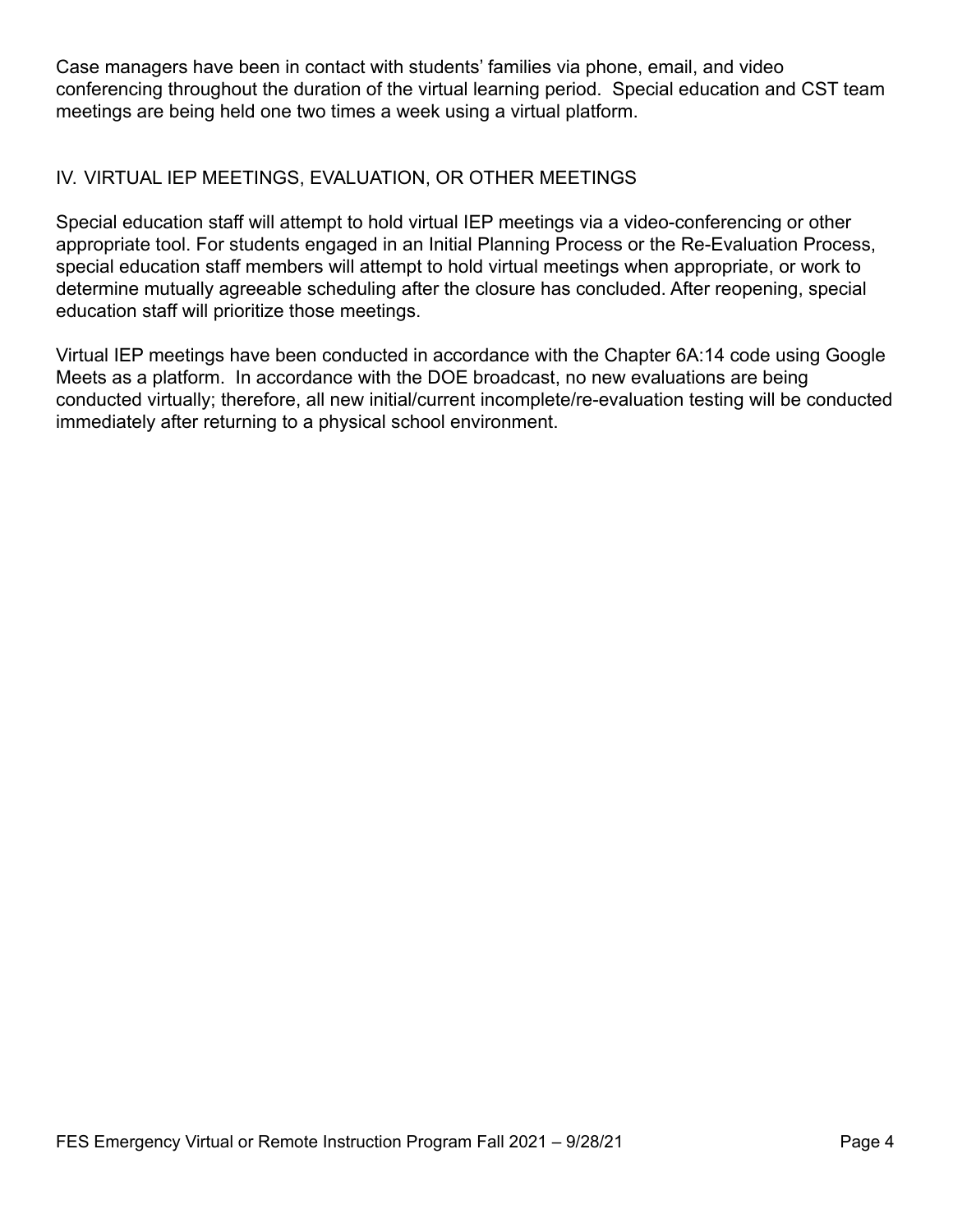Case managers have been in contact with students' families via phone, email, and video conferencing throughout the duration of the virtual learning period. Special education and CST team meetings are being held one two times a week using a virtual platform.

## IV. VIRTUAL IEP MEETINGS, EVALUATION, OR OTHER MEETINGS

Special education staff will attempt to hold virtual IEP meetings via a video-conferencing or other appropriate tool. For students engaged in an Initial Planning Process or the Re-Evaluation Process, special education staff members will attempt to hold virtual meetings when appropriate, or work to determine mutually agreeable scheduling after the closure has concluded. After reopening, special education staff will prioritize those meetings.

Virtual IEP meetings have been conducted in accordance with the Chapter 6A:14 code using Google Meets as a platform. In accordance with the DOE broadcast, no new evaluations are being conducted virtually; therefore, all new initial/current incomplete/re-evaluation testing will be conducted immediately after returning to a physical school environment.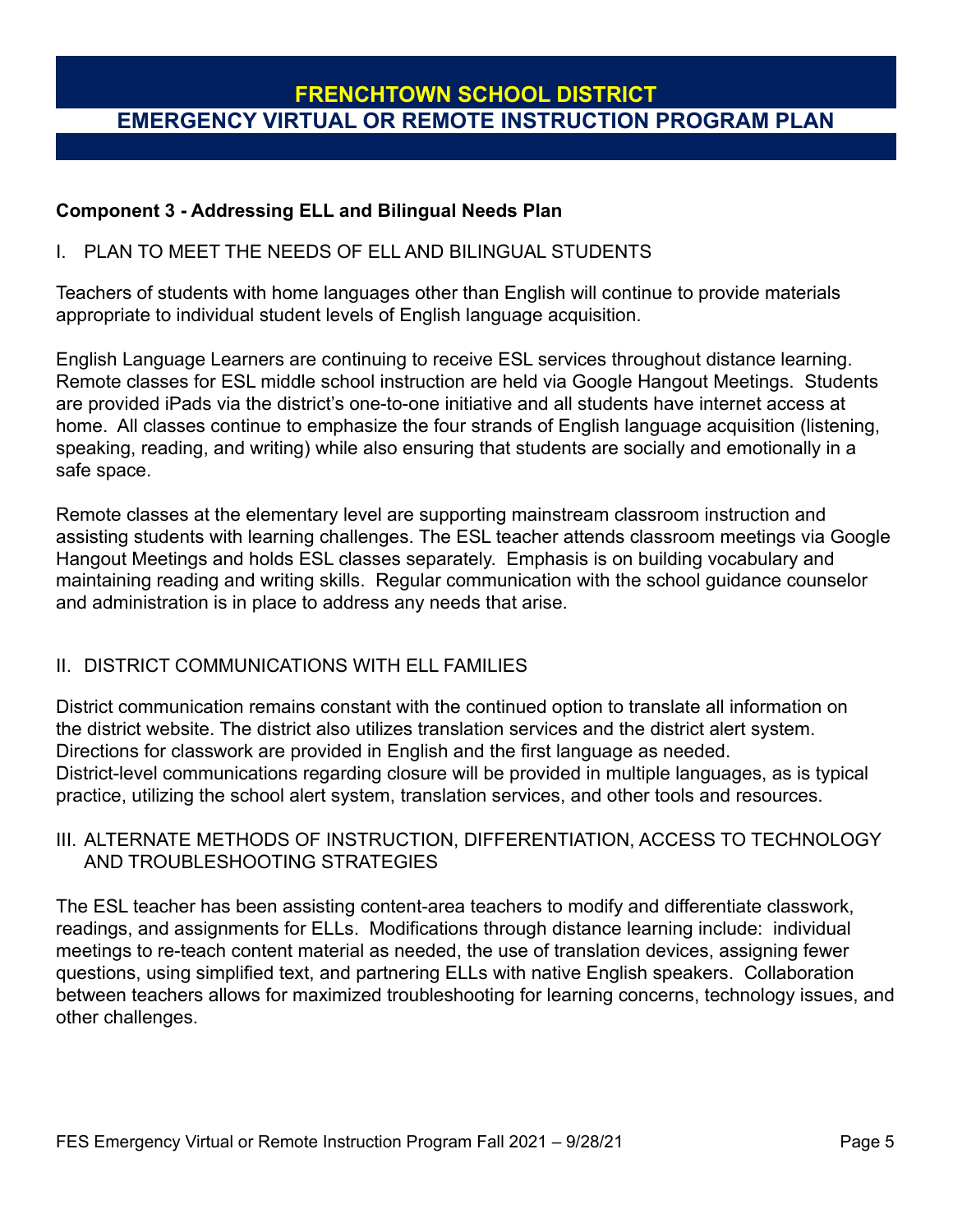#### **Component 3 - Addressing ELL and Bilingual Needs Plan**

#### I. PLAN TO MEET THE NEEDS OF ELL AND BILINGUAL STUDENTS

Teachers of students with home languages other than English will continue to provide materials appropriate to individual student levels of English language acquisition.

English Language Learners are continuing to receive ESL services throughout distance learning. Remote classes for ESL middle school instruction are held via Google Hangout Meetings. Students are provided iPads via the district's one-to-one initiative and all students have internet access at home. All classes continue to emphasize the four strands of English language acquisition (listening, speaking, reading, and writing) while also ensuring that students are socially and emotionally in a safe space.

Remote classes at the elementary level are supporting mainstream classroom instruction and assisting students with learning challenges. The ESL teacher attends classroom meetings via Google Hangout Meetings and holds ESL classes separately. Emphasis is on building vocabulary and maintaining reading and writing skills. Regular communication with the school guidance counselor and administration is in place to address any needs that arise.

## II. DISTRICT COMMUNICATIONS WITH ELL FAMILIES

District communication remains constant with the continued option to translate all information on the district website. The district also utilizes translation services and the district alert system. Directions for classwork are provided in English and the first language as needed. District-level communications regarding closure will be provided in multiple languages, as is typical practice, utilizing the school alert system, translation services, and other tools and resources.

### III. ALTERNATE METHODS OF INSTRUCTION, DIFFERENTIATION, ACCESS TO TECHNOLOGY AND TROUBLESHOOTING STRATEGIES

The ESL teacher has been assisting content-area teachers to modify and differentiate classwork, readings, and assignments for ELLs. Modifications through distance learning include: individual meetings to re-teach content material as needed, the use of translation devices, assigning fewer questions, using simplified text, and partnering ELLs with native English speakers. Collaboration between teachers allows for maximized troubleshooting for learning concerns, technology issues, and other challenges.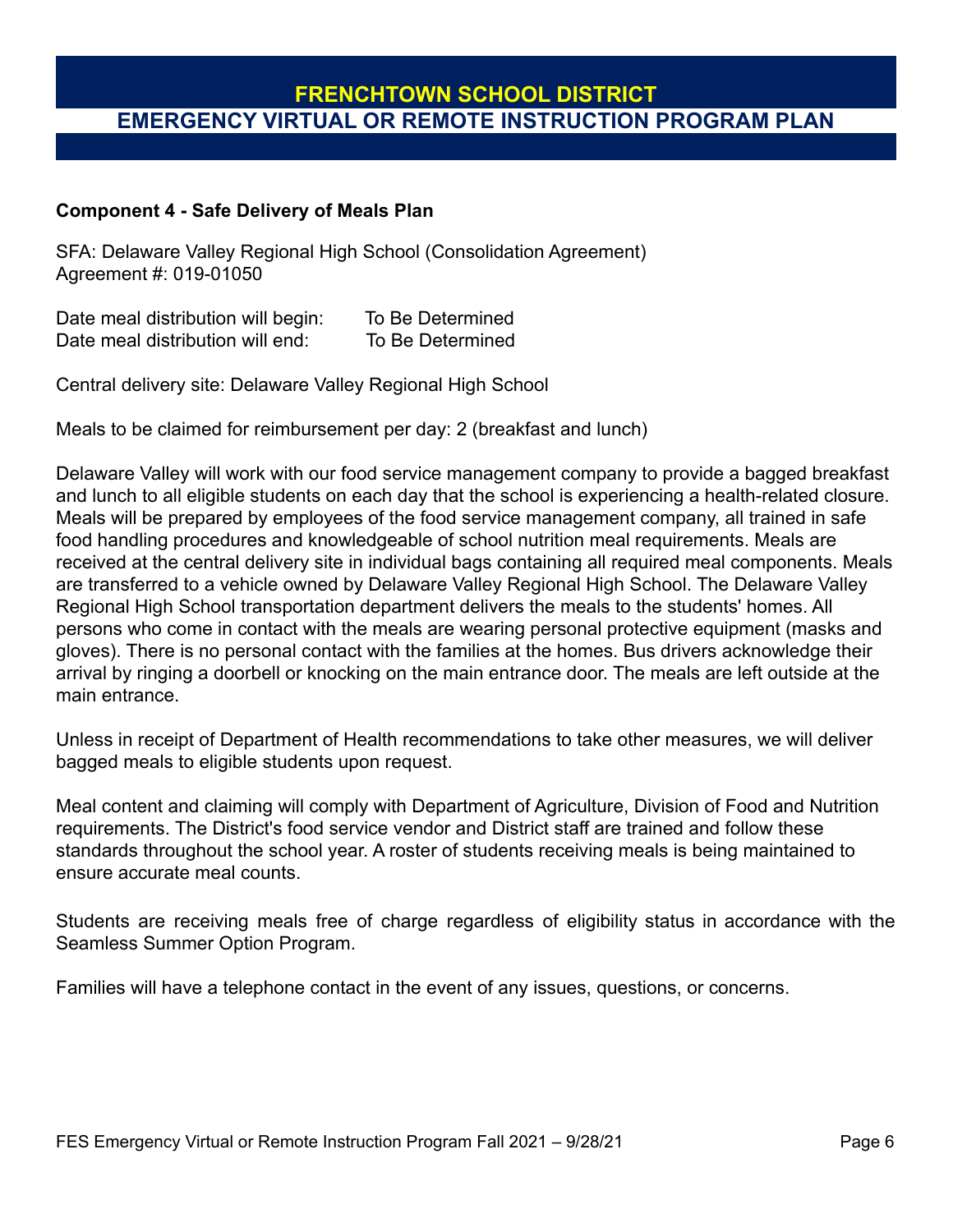#### **Component 4 - Safe Delivery of Meals Plan**

SFA: Delaware Valley Regional High School (Consolidation Agreement) Agreement #: 019-01050

Date meal distribution will begin: To Be Determined Date meal distribution will end: To Be Determined

Central delivery site: Delaware Valley Regional High School

Meals to be claimed for reimbursement per day: 2 (breakfast and lunch)

Delaware Valley will work with our food service management company to provide a bagged breakfast and lunch to all eligible students on each day that the school is experiencing a health-related closure. Meals will be prepared by employees of the food service management company, all trained in safe food handling procedures and knowledgeable of school nutrition meal requirements. Meals are received at the central delivery site in individual bags containing all required meal components. Meals are transferred to a vehicle owned by Delaware Valley Regional High School. The Delaware Valley Regional High School transportation department delivers the meals to the students' homes. All persons who come in contact with the meals are wearing personal protective equipment (masks and gloves). There is no personal contact with the families at the homes. Bus drivers acknowledge their arrival by ringing a doorbell or knocking on the main entrance door. The meals are left outside at the main entrance.

Unless in receipt of Department of Health recommendations to take other measures, we will deliver bagged meals to eligible students upon request.

Meal content and claiming will comply with Department of Agriculture, Division of Food and Nutrition requirements. The District's food service vendor and District staff are trained and follow these standards throughout the school year. A roster of students receiving meals is being maintained to ensure accurate meal counts.

Students are receiving meals free of charge regardless of eligibility status in accordance with the Seamless Summer Option Program.

Families will have a telephone contact in the event of any issues, questions, or concerns.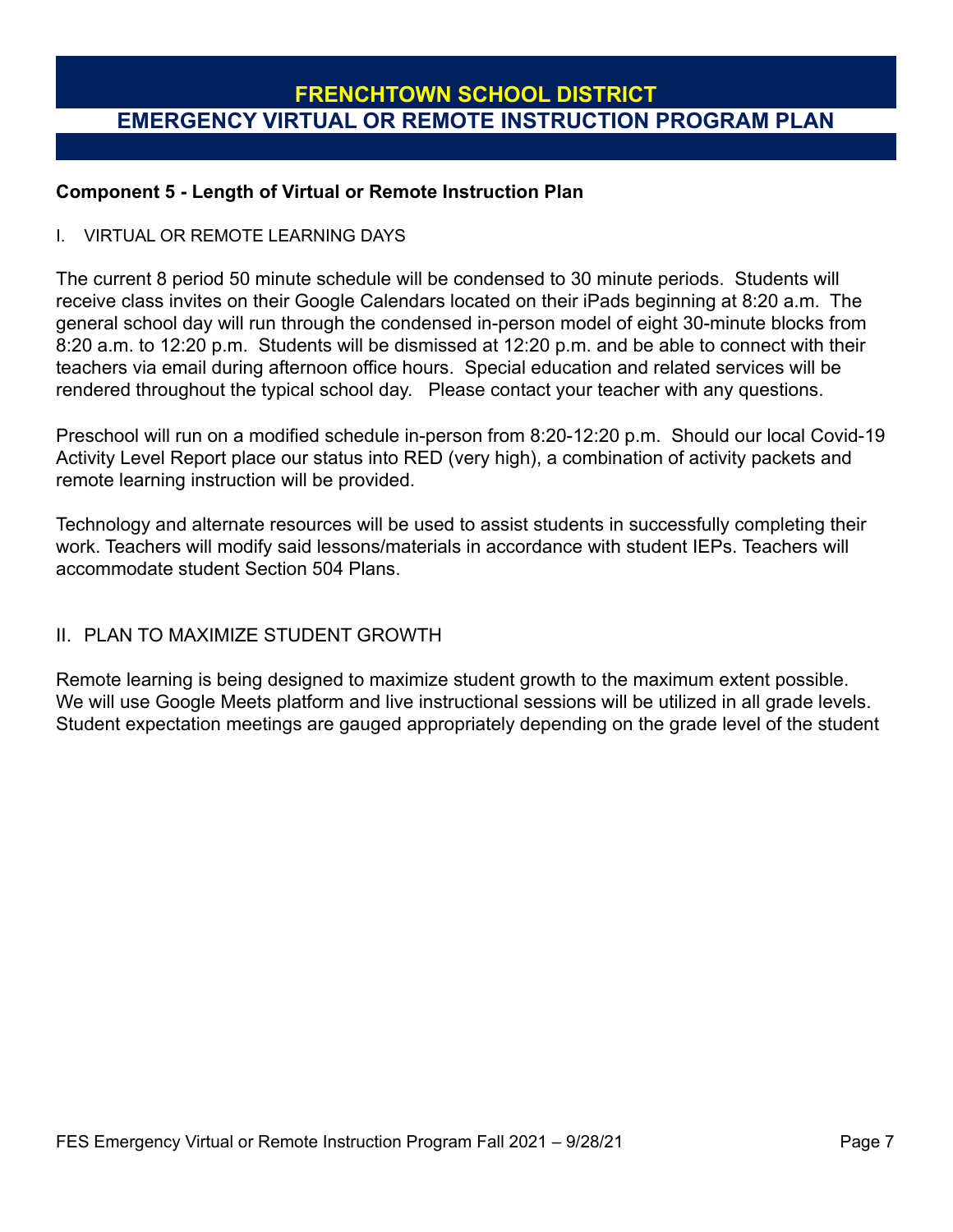### **Component 5 - Length of Virtual or Remote Instruction Plan**

#### I. VIRTUAL OR REMOTE LEARNING DAYS

The current 8 period 50 minute schedule will be condensed to 30 minute periods. Students will receive class invites on their Google Calendars located on their iPads beginning at 8:20 a.m. The general school day will run through the condensed in-person model of eight 30-minute blocks from 8:20 a.m. to 12:20 p.m. Students will be dismissed at 12:20 p.m. and be able to connect with their teachers via email during afternoon office hours. Special education and related services will be rendered throughout the typical school day. Please contact your teacher with any questions.

Preschool will run on a modified schedule in-person from 8:20-12:20 p.m. Should our local Covid-19 Activity Level Report place our status into RED (very high), a combination of activity packets and remote learning instruction will be provided.

Technology and alternate resources will be used to assist students in successfully completing their work. Teachers will modify said lessons/materials in accordance with student IEPs. Teachers will accommodate student Section 504 Plans.

## II. PLAN TO MAXIMIZE STUDENT GROWTH

Remote learning is being designed to maximize student growth to the maximum extent possible. We will use Google Meets platform and live instructional sessions will be utilized in all grade levels. Student expectation meetings are gauged appropriately depending on the grade level of the student